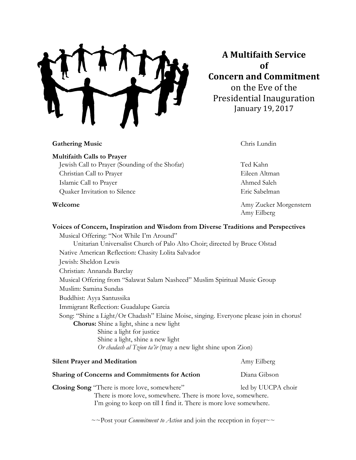**A"Multifaith"Service of Concern"and"Commitment** on the Eve of the Presidential Inauguration January 19, 2017

## **Gathering Music** Chris Lundin

Amy Eilberg

**Multifaith Calls to Prayer** Jewish Call to Prayer (Sounding of the Shofar) Ted Kahn Christian Call to Prayer Eileen Altman Islamic Call to Prayer Ahmed Saleh Quaker Invitation to Silence Eric Sabelman

**Welcome Amy Zucker Morgenstern** 

**Voices of Concern, Inspiration and Wisdom from Diverse Traditions and Perspectives** Musical Offering: "Not While I'm Around" Unitarian Universalist Church of Palo Alto Choir; directed by Bruce Olstad Native American Reflection: Chasity Lolita Salvador Jewish: Sheldon Lewis Christian: Annanda Barclay Musical Offering from "Salawat Salam Nasheed" Muslim Spiritual Music Group Muslim: Samina Sundas Buddhist: Ayya Santussika Immigrant Reflection: Guadalupe Garcia Song: "Shine a Light/Or Chadash" Elaine Moise, singing. Everyone please join in chorus! **Chorus:** Shine a light, shine a new light Shine a light for justice Shine a light, shine a new light *Or chadash al Tzion ta'ir* (may a new light shine upon Zion) **Silent Prayer and Meditation** Amy Eilberg **Sharing of Concerns and Commitments for Action** Diana Gibson

**Closing Song** "There is more love, somewhere" led by UUCPA choir There is more love, somewhere. There is more love, somewhere. I'm going to keep on till I find it. There is more love somewhere.

~~Post your *Commitment to Action* and join the reception in foyer~~